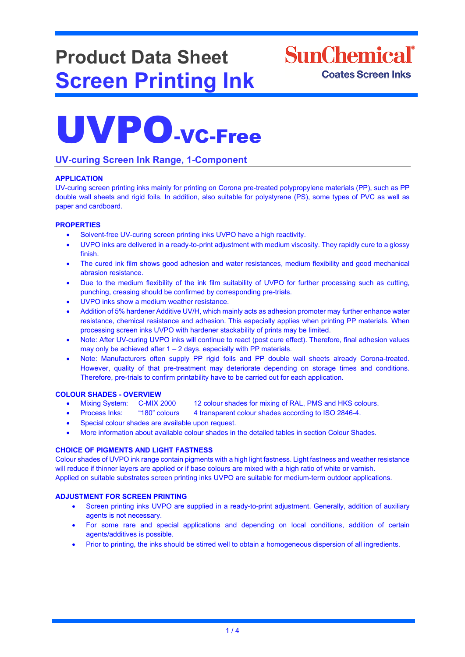## **Product Data Sheet Screen Printing Ink**



# UVPO-VC-Free

### **UV-curing Screen Ink Range, 1-Component**

#### **APPLICATION**

UV-curing screen printing inks mainly for printing on Corona pre-treated polypropylene materials (PP), such as PP double wall sheets and rigid foils. In addition, also suitable for polystyrene (PS), some types of PVC as well as paper and cardboard.

#### **PROPERTIES**

- Solvent-free UV-curing screen printing inks UVPO have a high reactivity.
- UVPO inks are delivered in a ready-to-print adjustment with medium viscosity. They rapidly cure to a glossy finish.
- The cured ink film shows good adhesion and water resistances, medium flexibility and good mechanical abrasion resistance.
- Due to the medium flexibility of the ink film suitability of UVPO for further processing such as cutting, punching, creasing should be confirmed by corresponding pre-trials.
- UVPO inks show a medium weather resistance.
- Addition of 5% hardener Additive UV/H, which mainly acts as adhesion promoter may further enhance water resistance, chemical resistance and adhesion. This especially applies when printing PP materials. When processing screen inks UVPO with hardener stackability of prints may be limited.
- Note: After UV-curing UVPO inks will continue to react (post cure effect). Therefore, final adhesion values may only be achieved after 1 – 2 days, especially with PP materials.
- Note: Manufacturers often supply PP rigid foils and PP double wall sheets already Corona-treated. However, quality of that pre-treatment may deteriorate depending on storage times and conditions. Therefore, pre-trials to confirm printability have to be carried out for each application.

#### **COLOUR SHADES - OVERVIEW**

- Mixing System: C-MIX 2000 12 colour shades for mixing of RAL, PMS and HKS colours.
- Process Inks: "180" colours 4 transparent colour shades according to ISO 2846-4.
- Special colour shades are available upon request.
- More information about available colour shades in the detailed tables in section Colour Shades.

#### **CHOICE OF PIGMENTS AND LIGHT FASTNESS**

Colour shades of UVPO ink range contain pigments with a high light fastness. Light fastness and weather resistance will reduce if thinner layers are applied or if base colours are mixed with a high ratio of white or varnish. Applied on suitable substrates screen printing inks UVPO are suitable for medium-term outdoor applications.

#### **ADJUSTMENT FOR SCREEN PRINTING**

- Screen printing inks UVPO are supplied in a ready-to-print adjustment. Generally, addition of auxiliary agents is not necessary.
- For some rare and special applications and depending on local conditions, addition of certain agents/additives is possible.
- Prior to printing, the inks should be stirred well to obtain a homogeneous dispersion of all ingredients.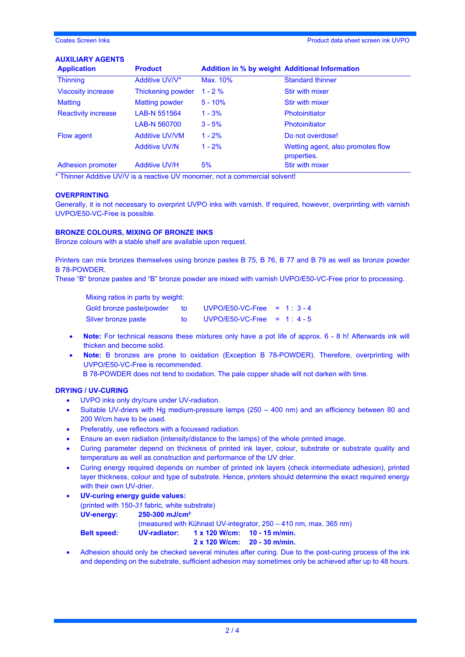#### **AUXILIARY AGENTS**

| <b>Application</b>         | <b>Product</b>        | <b>Addition in % by weight Additional Information</b> |                                                  |
|----------------------------|-----------------------|-------------------------------------------------------|--------------------------------------------------|
| <b>Thinning</b>            | Additive UV/V*        | Max. 10%                                              | <b>Standard thinner</b>                          |
| <b>Viscosity increase</b>  | Thickening powder     | $1 - 2 \%$                                            | <b>Stir with mixer</b>                           |
| <b>Matting</b>             | Matting powder        | $5 - 10%$                                             | <b>Stir with mixer</b>                           |
| <b>Reactivity increase</b> | LAB-N 551564          | $1 - 3%$                                              | <b>Photoinitiator</b>                            |
|                            | LAB-N 560700          | $3 - 5%$                                              | <b>Photoinitiator</b>                            |
| Flow agent                 | <b>Additive UV/VM</b> | $1 - 2%$                                              | Do not overdose!                                 |
|                            | <b>Additive UV/N</b>  | $1 - 2%$                                              | Wetting agent, also promotes flow<br>properties. |
| <b>Adhesion promoter</b>   | <b>Additive UV/H</b>  | 5%                                                    | <b>Stir with mixer</b>                           |

\* Thinner Additive UV/V is a reactive UV monomer, not a commercial solvent!

#### **OVERPRINTING**

Generally, it is not necessary to overprint UVPO inks with varnish. If required, however, overprinting with varnish UVPO/E50-VC-Free is possible.

#### **BRONZE COLOURS, MIXING OF BRONZE INKS**

Bronze colours with a stable shelf are available upon request.

Printers can mix bronzes themselves using bronze pastes B 75, B 76, B 77 and B 79 as well as bronze powder B 78-POWDER.

These "B" bronze pastes and "B" bronze powder are mixed with varnish UVPO/E50-VC-Free prior to processing.

Mixing ratios in parts by weight: Gold bronze paste/powder to UVPO/E50-VC-Free = 1 : 3 - 4 Silver bronze paste to UVPO/E50-VC-Free = 1:4-5

- **Note:** For technical reasons these mixtures only have a pot life of approx. 6 8 h! Afterwards ink will thicken and become solid.
- **Note:** B bronzes are prone to oxidation (Exception B 78-POWDER). Therefore, overprinting with UVPO/E50-VC-Free is recommended. B 78-POWDER does not tend to oxidation. The pale copper shade will not darken with time.

#### **DRYING / UV-CURING**

- UVPO inks only dry/cure under UV-radiation.
- Suitable UV-driers with Hg medium-pressure lamps (250 400 nm) and an efficiency between 80 and 200 W/cm have to be used.
- Preferably, use reflectors with a focussed radiation.
- Ensure an even radiation (intensity/distance to the lamps) of the whole printed image.
- Curing parameter depend on thickness of printed ink layer, colour, substrate or substrate quality and temperature as well as construction and performance of the UV drier.
- Curing energy required depends on number of printed ink layers (check intermediate adhesion), printed layer thickness, colour and type of substrate. Hence, printers should determine the exact required energy with their own UV-drier.
- **UV-curing energy guide values:**  (printed with 150-*31* fabric*,* white substrate) **UV-energy: 250-300 mJ/cm²**

(measured with Kühnast UV-integrator, 250 – 410 nm, max. 365 nm)

**Belt speed: UV-radiator: 1 x 120 W/cm: 10 - 15 m/min.**

**2 x 120 W/cm: 20 - 30 m/min.**

• Adhesion should only be checked several minutes after curing. Due to the post-curing process of the ink and depending on the substrate, sufficient adhesion may sometimes only be achieved after up to 48 hours.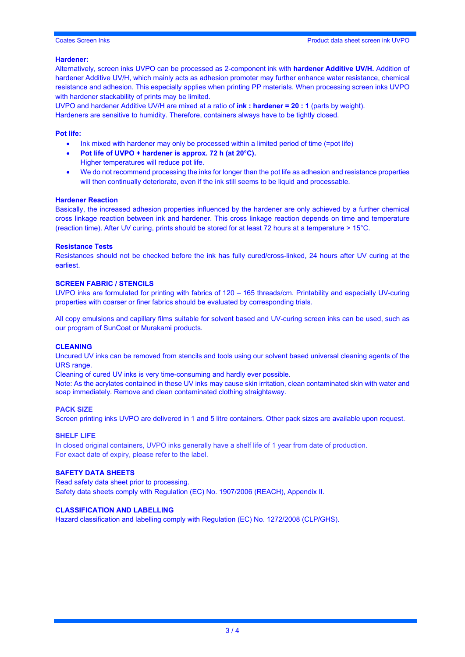#### **Hardener:**

Alternatively, screen inks UVPO can be processed as 2-component ink with **hardener Additive UV/H.** Addition of hardener Additive UV/H, which mainly acts as adhesion promoter may further enhance water resistance, chemical resistance and adhesion. This especially applies when printing PP materials. When processing screen inks UVPO with hardener stackability of prints may be limited.

UVPO and hardener Additive UV/H are mixed at a ratio of **ink : hardener = 20 : 1** (parts by weight). Hardeners are sensitive to humidity. Therefore, containers always have to be tightly closed.

#### **Pot life:**

- Ink mixed with hardener may only be processed within a limited period of time (=pot life)
- **Pot life of UVPO + hardener is approx. 72 h (at 20°C).** Higher temperatures will reduce pot life.
- We do not recommend processing the inks for longer than the pot life as adhesion and resistance properties will then continually deteriorate, even if the ink still seems to be liquid and processable.

#### **Hardener Reaction**

Basically, the increased adhesion properties influenced by the hardener are only achieved by a further chemical cross linkage reaction between ink and hardener. This cross linkage reaction depends on time and temperature (reaction time). After UV curing, prints should be stored for at least 72 hours at a temperature > 15°C.

#### **Resistance Tests**

Resistances should not be checked before the ink has fully cured/cross-linked, 24 hours after UV curing at the earliest.

#### **SCREEN FABRIC / STENCILS**

UVPO inks are formulated for printing with fabrics of 120 – 165 threads/cm. Printability and especially UV-curing properties with coarser or finer fabrics should be evaluated by corresponding trials.

All copy emulsions and capillary films suitable for solvent based and UV-curing screen inks can be used, such as our program of SunCoat or Murakami products.

#### **CLEANING**

Uncured UV inks can be removed from stencils and tools using our solvent based universal cleaning agents of the URS range.

Cleaning of cured UV inks is very time-consuming and hardly ever possible.

Note: As the acrylates contained in these UV inks may cause skin irritation, clean contaminated skin with water and soap immediately. Remove and clean contaminated clothing straightaway.

#### **PACK SIZE**

Screen printing inks UVPO are delivered in 1 and 5 litre containers. Other pack sizes are available upon request.

#### **SHELF LIFE**

In closed original containers, UVPO inks generally have a shelf life of 1 year from date of production. For exact date of expiry, please refer to the label.

#### **SAFETY DATA SHEETS**

Read safety data sheet prior to processing. Safety data sheets comply with Regulation (EC) No. 1907/2006 (REACH), Appendix II.

#### **CLASSIFICATION AND LABELLING**

Hazard classification and labelling comply with Regulation (EC) No. 1272/2008 (CLP/GHS).